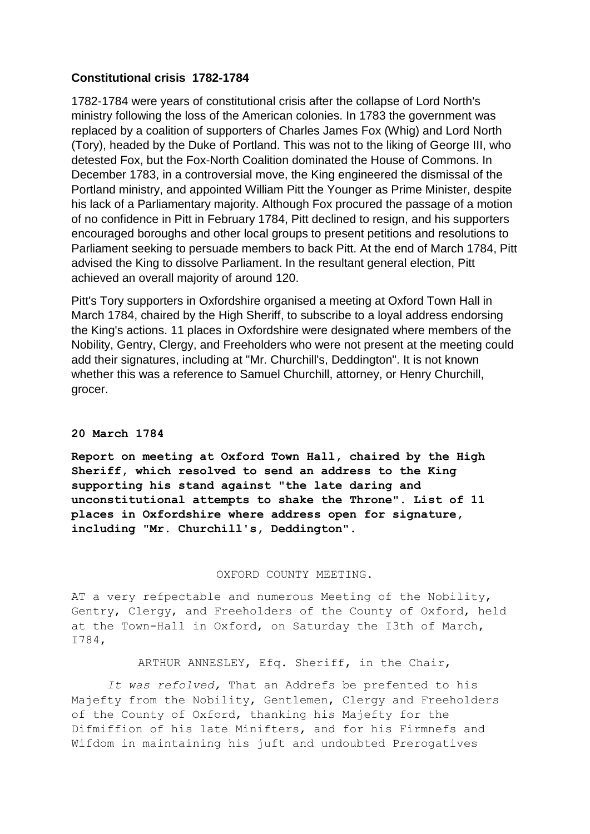## **Constitutional crisis 1782-1784**

1782-1784 were years of constitutional crisis after the collapse of Lord North's ministry following the loss of the American colonies. In 1783 the government was replaced by a coalition of supporters of Charles James Fox (Whig) and Lord North (Tory), headed by the Duke of Portland. This was not to the liking of George III, who detested Fox, but the Fox-North Coalition dominated the House of Commons. In December 1783, in a controversial move, the King engineered the dismissal of the Portland ministry, and appointed William Pitt the Younger as Prime Minister, despite his lack of a Parliamentary majority. Although Fox procured the passage of a motion of no confidence in Pitt in February 1784, Pitt declined to resign, and his supporters encouraged boroughs and other local groups to present petitions and resolutions to Parliament seeking to persuade members to back Pitt. At the end of March 1784, Pitt advised the King to dissolve Parliament. In the resultant general election, Pitt achieved an overall majority of around 120.

Pitt's Tory supporters in Oxfordshire organised a meeting at Oxford Town Hall in March 1784, chaired by the High Sheriff, to subscribe to a loyal address endorsing the King's actions. 11 places in Oxfordshire were designated where members of the Nobility, Gentry, Clergy, and Freeholders who were not present at the meeting could add their signatures, including at "Mr. Churchill's, Deddington". It is not known whether this was a reference to Samuel Churchill, attorney, or Henry Churchill, grocer.

## **20 March 1784**

**Report on meeting at Oxford Town Hall, chaired by the High Sheriff, which resolved to send an address to the King supporting his stand against "the late daring and unconstitutional attempts to shake the Throne". List of 11 places in Oxfordshire where address open for signature, including "Mr. Churchill's, Deddington".**

## OXFORD COUNTY MEETING.

AT a very refpectable and numerous Meeting of the Nobility, Gentry, Clergy, and Freeholders of the County of Oxford, held at the Town-Hall in Oxford, on Saturday the I3th of March, I784,

## ARTHUR ANNESLEY, Efq. Sheriff, in the Chair,

*It was refolved,* That an Addrefs be prefented to his Majefty from the Nobility, Gentlemen, Clergy and Freeholders of the County of Oxford, thanking his Majefty for the Difmiffion of his late Minifters, and for his Firmnefs and Wifdom in maintaining his juft and undoubted Prerogatives